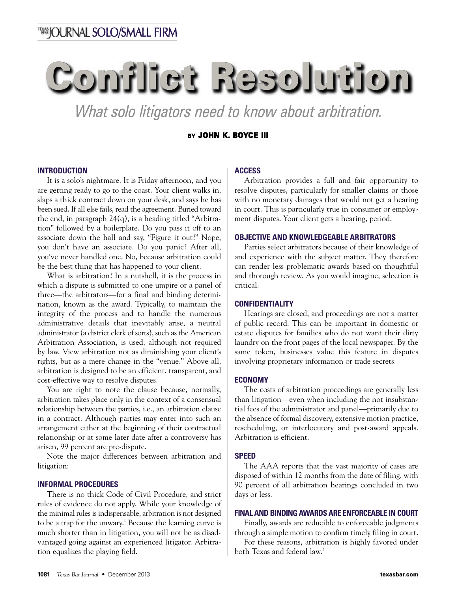# **Conflict Resolution**

*What solo litigators need to know about arbitration.*

# **BY JOHN K. BOYCE III**

## **INTRODUCTION**

It is a solo's nightmare. It is Friday afternoon, and you are getting ready to go to the coast. Your client walks in, slaps a thick contract down on your desk, and says he has been sued. If all else fails, read the agreement. Buried toward the end, in paragraph 24(q), is a heading titled "Arbitration" followed by a boilerplate. Do you pass it off to an associate down the hall and say, "Figure it out?" Nope, you don't have an associate. Do you panic? After all, you've never handled one. No, because arbitration could be the best thing that has happened to your client.

What is arbitration? In a nutshell, it is the process in which a dispute is submitted to one umpire or a panel of three—the arbitrators—for a final and binding determination, known as the award. Typically, to maintain the integrity of the process and to handle the numerous administrative details that inevitably arise, a neutral administrator(a district clerk of sorts), such as the American Arbitration Association, is used, although not required by law. View arbitration not as diminishing your client's rights, but as a mere change in the "venue." Above all, arbitration is designed to be an efficient, transparent, and cost-effective way to resolve disputes.

You are right to note the clause because, normally, arbitration takes place only in the context of a consensual relationship between the parties, i.e., an arbitration clause in a contract. Although parties may enter into such an arrangement either at the beginning of their contractual relationship or at some later date after a controversy has arisen, 99 percent are pre-dispute.

Note the major differences between arbitration and litigation:

## **INFORMAL PROCEDURES**

There is no thick Code of Civil Procedure, and strict rules of evidence do not apply. While your knowledge of the minimal rules is indispensable, arbitration is not designed to be a trap for the unwary. <sup>1</sup> Because the learning curve is much shorter than in litigation, you will not be as disadvantaged going against an experienced litigator. Arbitration equalizes the playing field.

# **ACCESS**

Arbitration provides a full and fair opportunity to resolve disputes, particularly for smaller claims or those with no monetary damages that would not get a hearing in court. This is particularly true in consumer or employment disputes. Your client gets a hearing, period.

## **OBJECTIVE AND KNOWLEDGEABLE ARBITRATORS**

Parties select arbitrators because of their knowledge of and experience with the subject matter. They therefore can render less problematic awards based on thoughtful and thorough review. As you would imagine, selection is critical.

# **CONFIDENTIALITY**

Hearings are closed, and proceedings are not a matter of public record. This can be important in domestic or estate disputes for families who do not want their dirty laundry on the front pages of the local newspaper. By the same token, businesses value this feature in disputes involving proprietary information or trade secrets.

#### **ECONOMY**

The costs of arbitration proceedings are generally less than litigation—even when including the not insubstantial fees of the administrator and panel—primarily due to the absence of formal discovery, extensive motion practice, rescheduling, or interlocutory and post-award appeals. Arbitration is efficient.

#### **SPEED**

The AAA reports that the vast majority of cases are disposed of within 12 months from the date of filing, with 90 percent of all arbitration hearings concluded in two days or less.

## **FINAL AND BINDING AWARDS ARE ENFORCEABLE IN COURT**

Finally, awards are reducible to enforceable judgments through a simple motion to confirm timely filing in court.

For these reasons, arbitration is highly favored under both Texas and federal law. 2